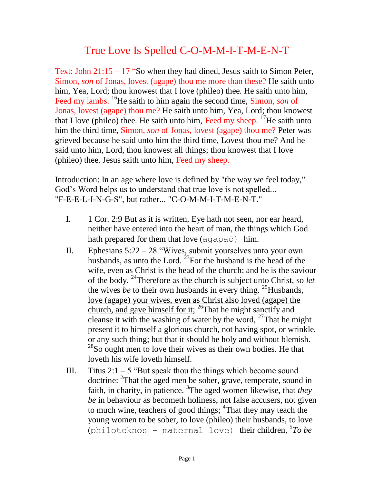## True Love Is Spelled C-O-M-M-I-T-M-E-N-T

Text: John 21:15 – 17 "So when they had dined, Jesus saith to Simon Peter, Simon, *son* of Jonas, lovest (agape) thou me more than these? He saith unto him, Yea, Lord; thou knowest that I love (phileo) thee. He saith unto him, Feed my lambs. <sup>16</sup>He saith to him again the second time, Simon, *son* of Jonas, lovest (agape) thou me? He saith unto him, Yea, Lord; thou knowest that I love (phileo) thee. He saith unto him, Feed my sheep.  $^{17}$ He saith unto him the third time, Simon, *son* of Jonas, lovest (agape) thou me? Peter was grieved because he said unto him the third time, Lovest thou me? And he said unto him, Lord, thou knowest all things; thou knowest that I love (phileo) thee. Jesus saith unto him, Feed my sheep.

Introduction: In an age where love is defined by "the way we feel today," God's Word helps us to understand that true love is not spelled... "F-E-E-L-I-N-G-S", but rather... "C-O-M-M-I-T-M-E-N-T."

- I. 1 Cor. 2:9 But as it is written, Eye hath not seen, nor ear heard, neither have entered into the heart of man, the things which God hath prepared for them that love (agapaō) him.
- II. Ephesians  $5:22 28$  "Wives, submit yourselves unto your own husbands, as unto the Lord. <sup>23</sup>For the husband is the head of the wife, even as Christ is the head of the church: and he is the saviour of the body. <sup>24</sup>Therefore as the church is subject unto Christ, so *let* the wives *be* to their own husbands in every thing. <sup>25</sup>Husbands, love (agape) your wives, even as Christ also loved (agape) the church, and gave himself for it; <sup>26</sup>That he might sanctify and cleanse it with the washing of water by the word,  $27$ That he might present it to himself a glorious church, not having spot, or wrinkle, or any such thing; but that it should be holy and without blemish.  $^{28}$ So ought men to love their wives as their own bodies. He that loveth his wife loveth himself.
- III. Titus  $2:1 5$  "But speak thou the things which become sound doctrine: <sup>2</sup>That the aged men be sober, grave, temperate, sound in faith, in charity, in patience. <sup>3</sup>The aged women likewise, that *they be* in behaviour as becometh holiness, not false accusers, not given to much wine, teachers of good things;  $\frac{4 \text{That they may teach the}}{2}$ young women to be sober, to love (phileo) their husbands, to love (philoteknos - maternal love) <u>theirchildren, 5To be</u>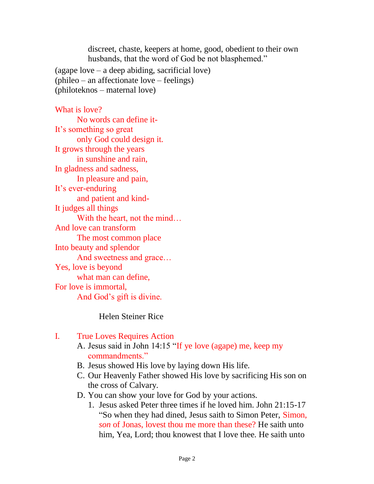discreet, chaste, keepers at home, good, obedient to their own husbands, that the word of God be not blasphemed."

(agape love – a deep abiding, sacrificial love) (phileo – an affectionate love – feelings) (philoteknos – maternal love)

What is love? No words can define it-It's something so great only God could design it. It grows through the years in sunshine and rain, In gladness and sadness, In pleasure and pain, It's ever-enduring and patient and kind-It judges all things With the heart, not the mind... And love can transform The most common place Into beauty and splendor And sweetness and grace… Yes, love is beyond what man can define, For love is immortal, And God's gift is divine.

Helen Steiner Rice

## I. True Loves Requires Action

- A. Jesus said in John 14:15 "If ye love (agape) me, keep my commandments."
- B. Jesus showed His love by laying down His life.
- C. Our Heavenly Father showed His love by sacrificing His son on the cross of Calvary.
- D. You can show your love for God by your actions.
	- 1. Jesus asked Peter three times if he loved him. John 21:15-17 "So when they had dined, Jesus saith to Simon Peter, Simon, *son* of Jonas, lovest thou me more than these? He saith unto him, Yea, Lord; thou knowest that I love thee. He saith unto